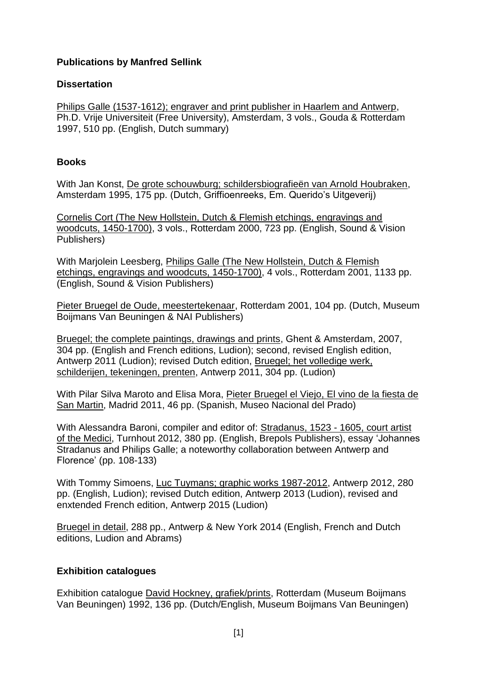## **Publications by Manfred Sellink**

## **Dissertation**

Philips Galle (1537-1612); engraver and print publisher in Haarlem and Antwerp, Ph.D. Vrije Universiteit (Free University), Amsterdam, 3 vols., Gouda & Rotterdam 1997, 510 pp. (English, Dutch summary)

## **Books**

With Jan Konst, De grote schouwburg; schildersbiografieën van Arnold Houbraken, Amsterdam 1995, 175 pp. (Dutch, Griffioenreeks, Em. Querido's Uitgeverij)

Cornelis Cort (The New Hollstein, Dutch & Flemish etchings, engravings and woodcuts, 1450-1700), 3 vols., Rotterdam 2000, 723 pp. (English, Sound & Vision Publishers)

With Marjolein Leesberg, Philips Galle (The New Hollstein, Dutch & Flemish etchings, engravings and woodcuts, 1450-1700), 4 vols., Rotterdam 2001, 1133 pp. (English, Sound & Vision Publishers)

Pieter Bruegel de Oude, meestertekenaar, Rotterdam 2001, 104 pp. (Dutch, Museum Boijmans Van Beuningen & NAI Publishers)

Bruegel; the complete paintings, drawings and prints, Ghent & Amsterdam, 2007, 304 pp. (English and French editions, Ludion); second, revised English edition, Antwerp 2011 (Ludion); revised Dutch edition, Bruegel; het volledige werk, schilderijen, tekeningen, prenten, Antwerp 2011, 304 pp. (Ludion)

With Pilar Silva Maroto and Elisa Mora, Pieter Bruegel el Viejo, El vino de la fiesta de San Martin, Madrid 2011, 46 pp. (Spanish, Museo Nacional del Prado)

With Alessandra Baroni, compiler and editor of: Stradanus, 1523 - 1605, court artist of the Medici, Turnhout 2012, 380 pp. (English, Brepols Publishers), essay 'Johannes Stradanus and Philips Galle; a noteworthy collaboration between Antwerp and Florence' (pp. 108-133)

With Tommy Simoens, Luc Tuymans; graphic works 1987-2012, Antwerp 2012, 280 pp. (English, Ludion); revised Dutch edition, Antwerp 2013 (Ludion), revised and enxtended French edition, Antwerp 2015 (Ludion)

Bruegel in detail, 288 pp., Antwerp & New York 2014 (English, French and Dutch editions, Ludion and Abrams)

# **Exhibition catalogues**

Exhibition catalogue David Hockney, grafiek/prints, Rotterdam (Museum Boijmans Van Beuningen) 1992, 136 pp. (Dutch/English, Museum Boijmans Van Beuningen)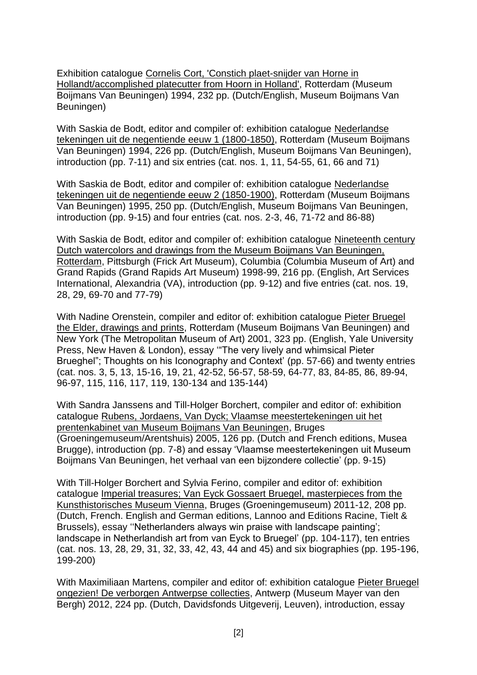Exhibition catalogue Cornelis Cort, 'Constich plaet-snijder van Horne in Hollandt/accomplished platecutter from Hoorn in Holland', Rotterdam (Museum Boijmans Van Beuningen) 1994, 232 pp. (Dutch/English, Museum Boijmans Van Beuningen)

With Saskia de Bodt, editor and compiler of: exhibition catalogue Nederlandse tekeningen uit de negentiende eeuw 1 (1800-1850), Rotterdam (Museum Boijmans Van Beuningen) 1994, 226 pp. (Dutch/English, Museum Boijmans Van Beuningen), introduction (pp. 7-11) and six entries (cat. nos. 1, 11, 54-55, 61, 66 and 71)

With Saskia de Bodt, editor and compiler of: exhibition catalogue Nederlandse tekeningen uit de negentiende eeuw 2 (1850-1900), Rotterdam (Museum Boijmans Van Beuningen) 1995, 250 pp. (Dutch/English, Museum Boijmans Van Beuningen, introduction (pp. 9-15) and four entries (cat. nos. 2-3, 46, 71-72 and 86-88)

With Saskia de Bodt, editor and compiler of: exhibition catalogue Nineteenth century Dutch watercolors and drawings from the Museum Boijmans Van Beuningen, Rotterdam, Pittsburgh (Frick Art Museum), Columbia (Columbia Museum of Art) and Grand Rapids (Grand Rapids Art Museum) 1998-99, 216 pp. (English, Art Services International, Alexandria (VA), introduction (pp. 9-12) and five entries (cat. nos. 19, 28, 29, 69-70 and 77-79)

With Nadine Orenstein, compiler and editor of: exhibition catalogue Pieter Bruegel the Elder, drawings and prints, Rotterdam (Museum Boijmans Van Beuningen) and New York (The Metropolitan Museum of Art) 2001, 323 pp. (English, Yale University Press, New Haven & London), essay '"The very lively and whimsical Pieter Brueghel"; Thoughts on his Iconography and Context' (pp. 57-66) and twenty entries (cat. nos. 3, 5, 13, 15-16, 19, 21, 42-52, 56-57, 58-59, 64-77, 83, 84-85, 86, 89-94, 96-97, 115, 116, 117, 119, 130-134 and 135-144)

With Sandra Janssens and Till-Holger Borchert, compiler and editor of: exhibition catalogue Rubens, Jordaens, Van Dyck; Vlaamse meestertekeningen uit het prentenkabinet van Museum Boijmans Van Beuningen, Bruges (Groeningemuseum/Arentshuis) 2005, 126 pp. (Dutch and French editions, Musea Brugge), introduction (pp. 7-8) and essay 'Vlaamse meestertekeningen uit Museum Boijmans Van Beuningen, het verhaal van een bijzondere collectie' (pp. 9-15)

With Till-Holger Borchert and Sylvia Ferino, compiler and editor of: exhibition catalogue Imperial treasures; Van Eyck Gossaert Bruegel, masterpieces from the Kunsthistorisches Museum Vienna, Bruges (Groeningemuseum) 2011-12, 208 pp. (Dutch, French. English and German editions, Lannoo and Editions Racine, Tielt & Brussels), essay ''Netherlanders always win praise with landscape painting'; landscape in Netherlandish art from van Eyck to Bruegel' (pp. 104-117), ten entries (cat. nos. 13, 28, 29, 31, 32, 33, 42, 43, 44 and 45) and six biographies (pp. 195-196, 199-200)

With Maximiliaan Martens, compiler and editor of: exhibition catalogue Pieter Bruegel ongezien! De verborgen Antwerpse collecties, Antwerp (Museum Mayer van den Bergh) 2012, 224 pp. (Dutch, Davidsfonds Uitgeverij, Leuven), introduction, essay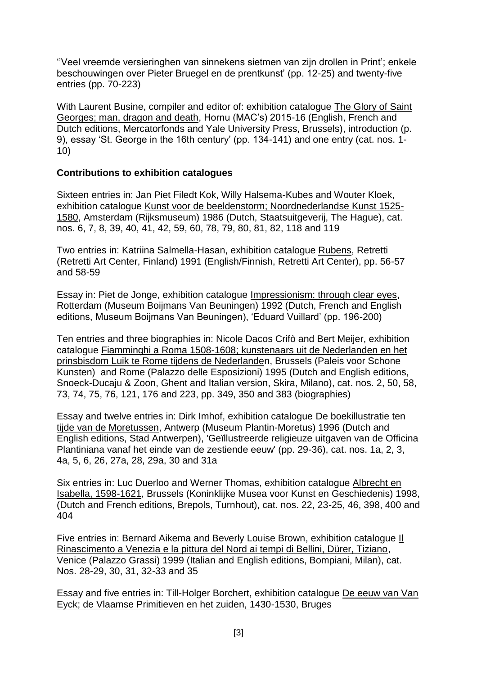''Veel vreemde versieringhen van sinnekens sietmen van zijn drollen in Print'; enkele beschouwingen over Pieter Bruegel en de prentkunst' (pp. 12-25) and twenty-five entries (pp. 70-223)

With Laurent Busine, compiler and editor of: exhibition catalogue The Glory of Saint Georges; man, dragon and death, Hornu (MAC's) 2015-16 (English, French and Dutch editions, Mercatorfonds and Yale University Press, Brussels), introduction (p. 9), essay 'St. George in the 16th century' (pp. 134-141) and one entry (cat. nos. 1- 10)

### **Contributions to exhibition catalogues**

Sixteen entries in: Jan Piet Filedt Kok, Willy Halsema-Kubes and Wouter Kloek, exhibition catalogue Kunst voor de beeldenstorm; Noordnederlandse Kunst 1525- 1580, Amsterdam (Rijksmuseum) 1986 (Dutch, Staatsuitgeverij, The Hague), cat. nos. 6, 7, 8, 39, 40, 41, 42, 59, 60, 78, 79, 80, 81, 82, 118 and 119

Two entries in: Katriina Salmella-Hasan, exhibition catalogue Rubens, Retretti (Retretti Art Center, Finland) 1991 (English/Finnish, Retretti Art Center), pp. 56-57 and 58-59

Essay in: Piet de Jonge, exhibition catalogue Impressionism: through clear eyes, Rotterdam (Museum Boijmans Van Beuningen) 1992 (Dutch, French and English editions, Museum Boijmans Van Beuningen), 'Eduard Vuillard' (pp. 196-200)

Ten entries and three biographies in: Nicole Dacos Crifò and Bert Meijer, exhibition catalogue Fiamminghi a Roma 1508-1608; kunstenaars uit de Nederlanden en het prinsbisdom Luik te Rome tijdens de Nederlanden, Brussels (Paleis voor Schone Kunsten) and Rome (Palazzo delle Esposizioni) 1995 (Dutch and English editions, Snoeck-Ducaju & Zoon, Ghent and Italian version, Skira, Milano), cat. nos. 2, 50, 58, 73, 74, 75, 76, 121, 176 and 223, pp. 349, 350 and 383 (biographies)

Essay and twelve entries in: Dirk Imhof, exhibition catalogue De boekillustratie ten tijde van de Moretussen, Antwerp (Museum Plantin-Moretus) 1996 (Dutch and English editions, Stad Antwerpen), 'Geïllustreerde religieuze uitgaven van de Officina Plantiniana vanaf het einde van de zestiende eeuw' (pp. 29-36), cat. nos. 1a, 2, 3, 4a, 5, 6, 26, 27a, 28, 29a, 30 and 31a

Six entries in: Luc Duerloo and Werner Thomas, exhibition catalogue Albrecht en Isabella, 1598-1621, Brussels (Koninklijke Musea voor Kunst en Geschiedenis) 1998, (Dutch and French editions, Brepols, Turnhout), cat. nos. 22, 23-25, 46, 398, 400 and 404

Five entries in: Bernard Aikema and Beverly Louise Brown, exhibition catalogue Il Rinascimento a Venezia e la pittura del Nord ai tempi di Bellini, Dürer, Tiziano, Venice (Palazzo Grassi) 1999 (Italian and English editions, Bompiani, Milan), cat. Nos. 28-29, 30, 31, 32-33 and 35

Essay and five entries in: Till-Holger Borchert, exhibition catalogue De eeuw van Van Eyck; de Vlaamse Primitieven en het zuiden, 1430-1530, Bruges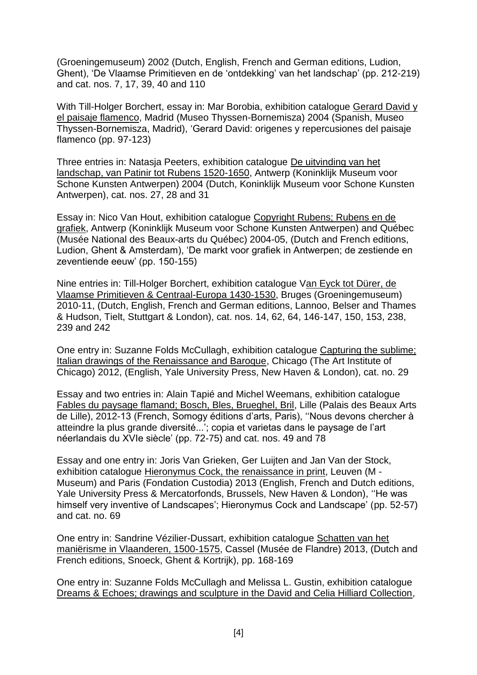(Groeningemuseum) 2002 (Dutch, English, French and German editions, Ludion, Ghent), 'De Vlaamse Primitieven en de 'ontdekking' van het landschap' (pp. 212-219) and cat. nos. 7, 17, 39, 40 and 110

With Till-Holger Borchert, essay in: Mar Borobia, exhibition catalogue Gerard David y el paisaje flamenco, Madrid (Museo Thyssen-Bornemisza) 2004 (Spanish, Museo Thyssen-Bornemisza, Madrid), 'Gerard David: origenes y repercusiones del paisaje flamenco (pp. 97-123)

Three entries in: Natasja Peeters, exhibition catalogue De uitvinding van het landschap, van Patinir tot Rubens 1520-1650, Antwerp (Koninklijk Museum voor Schone Kunsten Antwerpen) 2004 (Dutch, Koninklijk Museum voor Schone Kunsten Antwerpen), cat. nos. 27, 28 and 31

Essay in: Nico Van Hout, exhibition catalogue Copyright Rubens; Rubens en de grafiek, Antwerp (Koninklijk Museum voor Schone Kunsten Antwerpen) and Québec (Musée National des Beaux-arts du Québec) 2004-05, (Dutch and French editions, Ludion, Ghent & Amsterdam), 'De markt voor grafiek in Antwerpen; de zestiende en zeventiende eeuw' (pp. 150-155)

Nine entries in: Till-Holger Borchert, exhibition catalogue Van Eyck tot Dürer, de Vlaamse Primitieven & Centraal-Europa 1430-1530, Bruges (Groeningemuseum) 2010-11, (Dutch, English, French and German editions, Lannoo, Belser and Thames & Hudson, Tielt, Stuttgart & London), cat. nos. 14, 62, 64, 146-147, 150, 153, 238, 239 and 242

One entry in: Suzanne Folds McCullagh, exhibition catalogue Capturing the sublime; Italian drawings of the Renaissance and Baroque, Chicago (The Art Institute of Chicago) 2012, (English, Yale University Press, New Haven & London), cat. no. 29

Essay and two entries in: Alain Tapié and Michel Weemans, exhibition catalogue Fables du paysage flamand; Bosch, Bles, Brueghel, Bril, Lille (Palais des Beaux Arts de Lille), 2012-13 (French, Somogy éditions d'arts, Paris), ''Nous devons chercher à atteindre la plus grande diversité...'; copia et varietas dans le paysage de l'art néerlandais du XVIe siècle' (pp. 72-75) and cat. nos. 49 and 78

Essay and one entry in: Joris Van Grieken, Ger Luijten and Jan Van der Stock, exhibition catalogue Hieronymus Cock, the renaissance in print, Leuven (M - Museum) and Paris (Fondation Custodia) 2013 (English, French and Dutch editions, Yale University Press & Mercatorfonds, Brussels, New Haven & London), ''He was himself very inventive of Landscapes'; Hieronymus Cock and Landscape' (pp. 52-57) and cat. no. 69

One entry in: Sandrine Vézilier-Dussart, exhibition catalogue Schatten van het maniërisme in Vlaanderen, 1500-1575, Cassel (Musée de Flandre) 2013, (Dutch and French editions, Snoeck, Ghent & Kortrijk), pp. 168-169

One entry in: Suzanne Folds McCullagh and Melissa L. Gustin, exhibition catalogue Dreams & Echoes; drawings and sculpture in the David and Celia Hilliard Collection,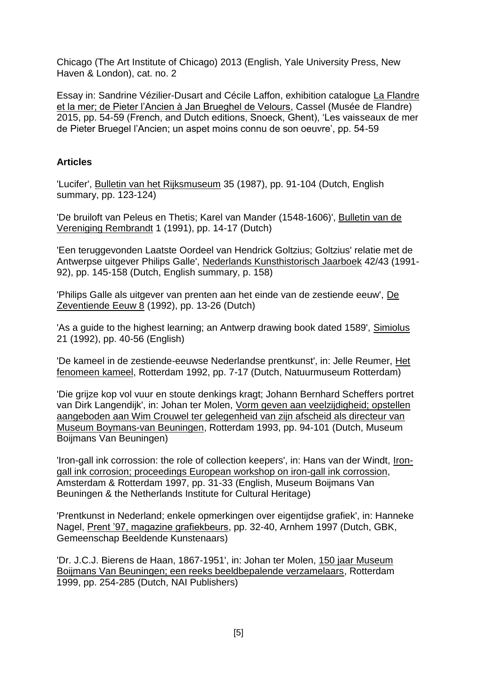Chicago (The Art Institute of Chicago) 2013 (English, Yale University Press, New Haven & London), cat. no. 2

Essay in: Sandrine Vézilier-Dusart and Cécile Laffon, exhibition catalogue La Flandre et la mer; de Pieter l'Ancien à Jan Brueghel de Velours, Cassel (Musée de Flandre) 2015, pp. 54-59 (French, and Dutch editions, Snoeck, Ghent), 'Les vaisseaux de mer de Pieter Bruegel l'Ancien; un aspet moins connu de son oeuvre', pp. 54-59

## **Articles**

'Lucifer', Bulletin van het Rijksmuseum 35 (1987), pp. 91-104 (Dutch, English summary, pp. 123-124)

'De bruiloft van Peleus en Thetis; Karel van Mander (1548-1606)', Bulletin van de Vereniging Rembrandt 1 (1991), pp. 14-17 (Dutch)

'Een teruggevonden Laatste Oordeel van Hendrick Goltzius; Goltzius' relatie met de Antwerpse uitgever Philips Galle', Nederlands Kunsthistorisch Jaarboek 42/43 (1991- 92), pp. 145-158 (Dutch, English summary, p. 158)

'Philips Galle als uitgever van prenten aan het einde van de zestiende eeuw', De Zeventiende Eeuw 8 (1992), pp. 13-26 (Dutch)

'As a guide to the highest learning; an Antwerp drawing book dated 1589', Simiolus 21 (1992), pp. 40-56 (English)

'De kameel in de zestiende-eeuwse Nederlandse prentkunst', in: Jelle Reumer, Het fenomeen kameel, Rotterdam 1992, pp. 7-17 (Dutch, Natuurmuseum Rotterdam)

'Die grijze kop vol vuur en stoute denkings kragt; Johann Bernhard Scheffers portret van Dirk Langendijk', in: Johan ter Molen, Vorm geven aan veelzijdigheid; opstellen aangeboden aan Wim Crouwel ter gelegenheid van zijn afscheid als directeur van Museum Boymans-van Beuningen, Rotterdam 1993, pp. 94-101 (Dutch, Museum Boijmans Van Beuningen)

'Iron-gall ink corrossion: the role of collection keepers', in: Hans van der Windt, Irongall ink corrosion; proceedings European workshop on iron-gall ink corrossion, Amsterdam & Rotterdam 1997, pp. 31-33 (English, Museum Boijmans Van Beuningen & the Netherlands Institute for Cultural Heritage)

'Prentkunst in Nederland; enkele opmerkingen over eigentijdse grafiek', in: Hanneke Nagel, Prent '97, magazine grafiekbeurs, pp. 32-40, Arnhem 1997 (Dutch, GBK, Gemeenschap Beeldende Kunstenaars)

'Dr. J.C.J. Bierens de Haan, 1867-1951', in: Johan ter Molen, 150 jaar Museum Boijmans Van Beuningen; een reeks beeldbepalende verzamelaars, Rotterdam 1999, pp. 254-285 (Dutch, NAI Publishers)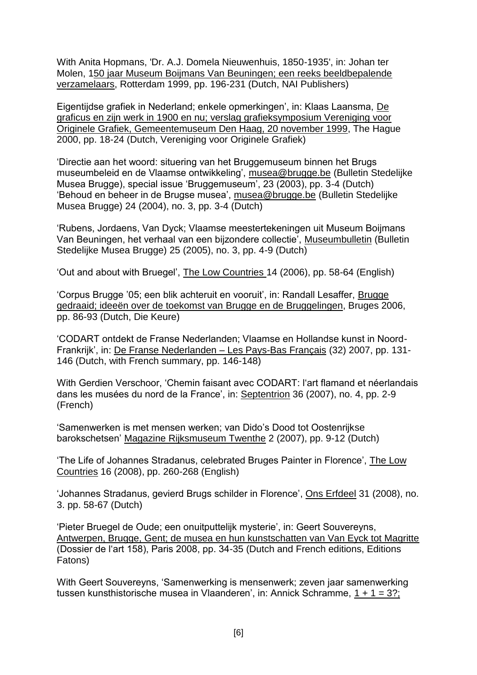With Anita Hopmans, 'Dr. A.J. Domela Nieuwenhuis, 1850-1935', in: Johan ter Molen, 150 jaar Museum Boijmans Van Beuningen; een reeks beeldbepalende verzamelaars, Rotterdam 1999, pp. 196-231 (Dutch, NAI Publishers)

Eigentijdse grafiek in Nederland; enkele opmerkingen', in: Klaas Laansma, De graficus en zijn werk in 1900 en nu; verslag grafieksymposium Vereniging voor Originele Grafiek, Gemeentemuseum Den Haag, 20 november 1999, The Hague 2000, pp. 18-24 (Dutch, Vereniging voor Originele Grafiek)

'Directie aan het woord: situering van het Bruggemuseum binnen het Brugs museumbeleid en de Vlaamse ontwikkeling', [musea@brugge.be](mailto:musea@brugge.be) (Bulletin Stedelijke Musea Brugge), special issue 'Bruggemuseum', 23 (2003), pp. 3-4 (Dutch) 'Behoud en beheer in de Brugse musea', [musea@brugge.be](mailto:musea@brugge.be) (Bulletin Stedelijke Musea Brugge) 24 (2004), no. 3, pp. 3-4 (Dutch)

'Rubens, Jordaens, Van Dyck; Vlaamse meestertekeningen uit Museum Boijmans Van Beuningen, het verhaal van een bijzondere collectie', Museumbulletin (Bulletin Stedelijke Musea Brugge) 25 (2005), no. 3, pp. 4-9 (Dutch)

'Out and about with Bruegel', The Low Countries 14 (2006), pp. 58-64 (English)

'Corpus Brugge '05; een blik achteruit en vooruit', in: Randall Lesaffer, Brugge gedraaid; ideeën over de toekomst van Brugge en de Bruggelingen, Bruges 2006, pp. 86-93 (Dutch, Die Keure)

'CODART ontdekt de Franse Nederlanden; Vlaamse en Hollandse kunst in Noord-Frankrijk', in: De Franse Nederlanden – Les Pays-Bas Français (32) 2007, pp. 131- 146 (Dutch, with French summary, pp. 146-148)

With Gerdien Verschoor, 'Chemin faisant avec CODART: l'art flamand et néerlandais dans les musées du nord de la France', in: Septentrion 36 (2007), no. 4, pp. 2-9 (French)

'Samenwerken is met mensen werken; van Dido's Dood tot Oostenrijkse barokschetsen' Magazine Rijksmuseum Twenthe 2 (2007), pp. 9-12 (Dutch)

'The Life of Johannes Stradanus, celebrated Bruges Painter in Florence', The Low Countries 16 (2008), pp. 260-268 (English)

'Johannes Stradanus, gevierd Brugs schilder in Florence', Ons Erfdeel 31 (2008), no. 3. pp. 58-67 (Dutch)

'Pieter Bruegel de Oude; een onuitputtelijk mysterie', in: Geert Souvereyns, Antwerpen, Brugge, Gent; de musea en hun kunstschatten van Van Eyck tot Magritte (Dossier de l'art 158), Paris 2008, pp. 34-35 (Dutch and French editions, Editions Fatons)

With Geert Souvereyns, 'Samenwerking is mensenwerk; zeven jaar samenwerking tussen kunsthistorische musea in Vlaanderen', in: Annick Schramme, 1 + 1 = 3?;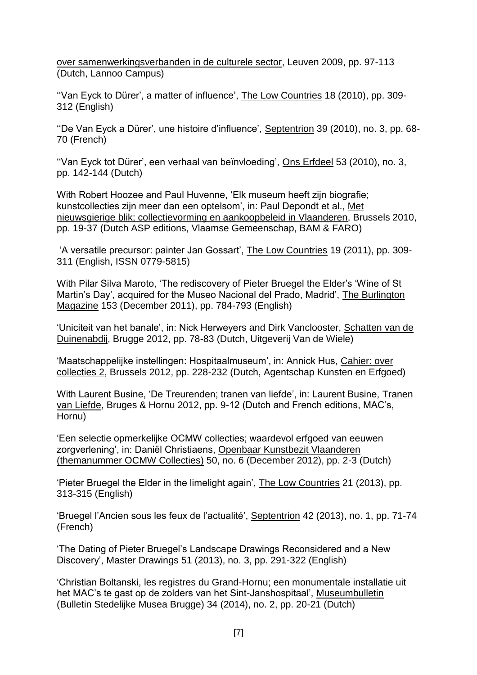over samenwerkingsverbanden in de culturele sector, Leuven 2009, pp. 97-113 (Dutch, Lannoo Campus)

''Van Eyck to Dürer', a matter of influence', The Low Countries 18 (2010), pp. 309- 312 (English)

''De Van Eyck a Dürer', une histoire d'influence', Septentrion 39 (2010), no. 3, pp. 68- 70 (French)

''Van Eyck tot Dürer', een verhaal van beïnvloeding', Ons Erfdeel 53 (2010), no. 3, pp. 142-144 (Dutch)

With Robert Hoozee and Paul Huvenne, 'Elk museum heeft zijn biografie; kunstcollecties zijn meer dan een optelsom', in: Paul Depondt et al., Met nieuwsgierige blik; collectievorming en aankoopbeleid in Vlaanderen, Brussels 2010, pp. 19-37 (Dutch ASP editions, Vlaamse Gemeenschap, BAM & FARO)

'A versatile precursor: painter Jan Gossart', The Low Countries 19 (2011), pp. 309- 311 (English, ISSN 0779-5815)

With Pilar Silva Maroto, 'The rediscovery of Pieter Bruegel the Elder's 'Wine of St Martin's Day', acquired for the Museo Nacional del Prado, Madrid', The Burlington Magazine 153 (December 2011), pp. 784-793 (English)

'Uniciteit van het banale', in: Nick Herweyers and Dirk Vanclooster, Schatten van de Duinenabdij, Brugge 2012, pp. 78-83 (Dutch, Uitgeverij Van de Wiele)

'Maatschappelijke instellingen: Hospitaalmuseum', in: Annick Hus, Cahier: over collecties 2, Brussels 2012, pp. 228-232 (Dutch, Agentschap Kunsten en Erfgoed)

With Laurent Busine, 'De Treurenden; tranen van liefde', in: Laurent Busine, Tranen van Liefde, Bruges & Hornu 2012, pp. 9-12 (Dutch and French editions, MAC's, Hornu)

'Een selectie opmerkelijke OCMW collecties; waardevol erfgoed van eeuwen zorgverlening', in: Daniël Christiaens, Openbaar Kunstbezit Vlaanderen (themanummer OCMW Collecties) 50, no. 6 (December 2012), pp. 2-3 (Dutch)

'Pieter Bruegel the Elder in the limelight again', The Low Countries 21 (2013), pp. 313-315 (English)

'Bruegel l'Ancien sous les feux de l'actualité', Septentrion 42 (2013), no. 1, pp. 71-74 (French)

'The Dating of Pieter Bruegel's Landscape Drawings Reconsidered and a New Discovery', Master Drawings 51 (2013), no. 3, pp. 291-322 (English)

'Christian Boltanski, les registres du Grand-Hornu; een monumentale installatie uit het MAC's te gast op de zolders van het Sint-Janshospitaal', Museumbulletin (Bulletin Stedelijke Musea Brugge) 34 (2014), no. 2, pp. 20-21 (Dutch)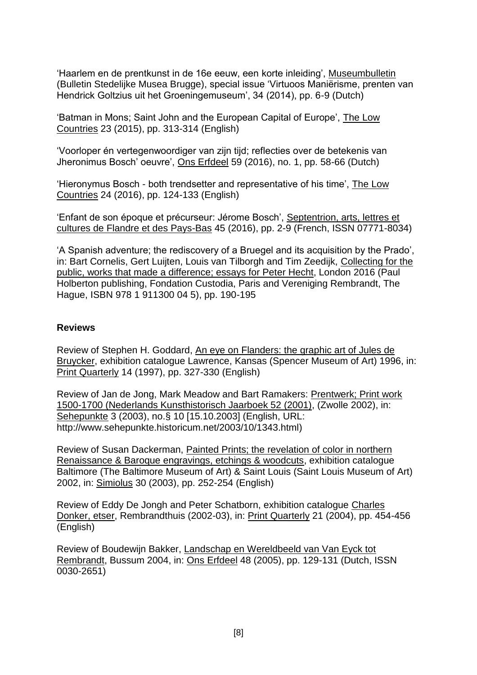'Haarlem en de prentkunst in de 16e eeuw, een korte inleiding', Museumbulletin (Bulletin Stedelijke Musea Brugge), special issue 'Virtuoos Maniërisme, prenten van Hendrick Goltzius uit het Groeningemuseum', 34 (2014), pp. 6-9 (Dutch)

'Batman in Mons; Saint John and the European Capital of Europe', The Low Countries 23 (2015), pp. 313-314 (English)

'Voorloper én vertegenwoordiger van zijn tijd; reflecties over de betekenis van Jheronimus Bosch' oeuvre', Ons Erfdeel 59 (2016), no. 1, pp. 58-66 (Dutch)

'Hieronymus Bosch - both trendsetter and representative of his time', The Low Countries 24 (2016), pp. 124-133 (English)

'Enfant de son époque et précurseur: Jérome Bosch', Septentrion, arts, lettres et cultures de Flandre et des Pays-Bas 45 (2016), pp. 2-9 (French, ISSN 07771-8034)

'A Spanish adventure; the rediscovery of a Bruegel and its acquisition by the Prado', in: Bart Cornelis, Gert Luijten, Louis van Tilborgh and Tim Zeedijk, Collecting for the public, works that made a difference; essays for Peter Hecht, London 2016 (Paul Holberton publishing, Fondation Custodia, Paris and Vereniging Rembrandt, The Hague, ISBN 978 1 911300 04 5), pp. 190-195

#### **Reviews**

Review of Stephen H. Goddard, An eye on Flanders: the graphic art of Jules de Bruycker, exhibition catalogue Lawrence, Kansas (Spencer Museum of Art) 1996, in: Print Quarterly 14 (1997), pp. 327-330 (English)

Review of Jan de Jong, Mark Meadow and Bart Ramakers: Prentwerk; Print work 1500-1700 (Nederlands Kunsthistorisch Jaarboek 52 (2001), (Zwolle 2002), in: Sehepunkte 3 (2003), no.§ 10 [15.10.2003] (English, URL: [http://www.sehepunkte.historicum.net/2003/10/1343.html\)](http://www.sehepunkte.historicum.net/2003/10/1343.html)

Review of Susan Dackerman, Painted Prints; the revelation of color in northern Renaissance & Baroque engravings, etchings & woodcuts, exhibition catalogue Baltimore (The Baltimore Museum of Art) & Saint Louis (Saint Louis Museum of Art) 2002, in: Simiolus 30 (2003), pp. 252-254 (English)

Review of Eddy De Jongh and Peter Schatborn, exhibition catalogue Charles Donker, etser, Rembrandthuis (2002-03), in: Print Quarterly 21 (2004), pp. 454-456 (English)

Review of Boudewijn Bakker, Landschap en Wereldbeeld van Van Eyck tot Rembrandt, Bussum 2004, in: Ons Erfdeel 48 (2005), pp. 129-131 (Dutch, ISSN 0030-2651)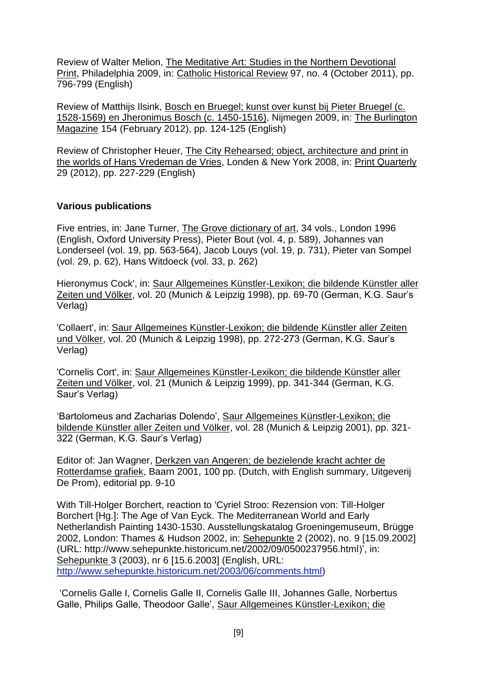Review of Walter Melion, The Meditative Art: Studies in the Northern Devotional Print, Philadelphia 2009, in: Catholic Historical Review 97, no. 4 (October 2011), pp. 796-799 (English)

Review of Matthijs Ilsink, Bosch en Bruegel; kunst over kunst bij Pieter Bruegel (c. 1528-1569) en Jheronimus Bosch (c. 1450-1516), Nijmegen 2009, in: The Burlington Magazine 154 (February 2012), pp. 124-125 (English)

Review of Christopher Heuer, The City Rehearsed; object, architecture and print in the worlds of Hans Vredeman de Vries, Londen & New York 2008, in: Print Quarterly 29 (2012), pp. 227-229 (English)

### **Various publications**

Five entries, in: Jane Turner, The Grove dictionary of art, 34 vols., London 1996 (English, Oxford University Press), Pieter Bout (vol. 4, p. 589), Johannes van Londerseel (vol. 19, pp. 563-564), Jacob Louys (vol. 19, p. 731), Pieter van Sompel (vol. 29, p. 62), Hans Witdoeck (vol. 33, p. 262)

Hieronymus Cock', in: Saur Allgemeines Künstler-Lexikon; die bildende Künstler aller Zeiten und Völker, vol. 20 (Munich & Leipzig 1998), pp. 69-70 (German, K.G. Saur's Verlag)

'Collaert', in: Saur Allgemeines Künstler-Lexikon; die bildende Künstler aller Zeiten und Völker, vol. 20 (Munich & Leipzig 1998), pp. 272-273 (German, K.G. Saur's Verlag)

'Cornelis Cort', in: Saur Allgemeines Künstler-Lexikon; die bildende Künstler aller Zeiten und Völker, vol. 21 (Munich & Leipzig 1999), pp. 341-344 (German, K.G. Saur's Verlag)

'Bartolomeus and Zacharias Dolendo', Saur Allgemeines Künstler-Lexikon; die bildende Künstler aller Zeiten und Völker, vol. 28 (Munich & Leipzig 2001), pp. 321- 322 (German, K.G. Saur's Verlag)

Editor of: Jan Wagner, Derkzen van Angeren; de bezielende kracht achter de Rotterdamse grafiek, Baarn 2001, 100 pp. (Dutch, with English summary, Uitgeverij De Prom), editorial pp. 9-10

With Till-Holger Borchert, reaction to 'Cyriel Stroo: Rezension von: Till-Holger Borchert [Hg.]: The Age of Van Eyck. The Mediterranean World and Early Netherlandish Painting 1430-1530. Ausstellungskatalog Groeningemuseum, Brügge 2002, London: Thames & Hudson 2002, in: Sehepunkte 2 (2002), no. 9 [15.09.2002] (URL: [http://www.sehepunkte.historicum.net/2002/09/0500237956.html\)](http://www.sehepunkte.historicum.net/2002/09/0500237956.html)', in: Sehepunkte 3 (2003), nr 6 [15.6.2003] (English, URL: [http://www.sehepunkte.historicum.net/2003/06/comments.html\)](http://www.sehepunkte.historicum.net/2003/06/comments.html)

'Cornelis Galle I, Cornelis Galle II, Cornelis Galle III, Johannes Galle, Norbertus Galle, Philips Galle, Theodoor Galle', Saur Allgemeines Künstler-Lexikon; die